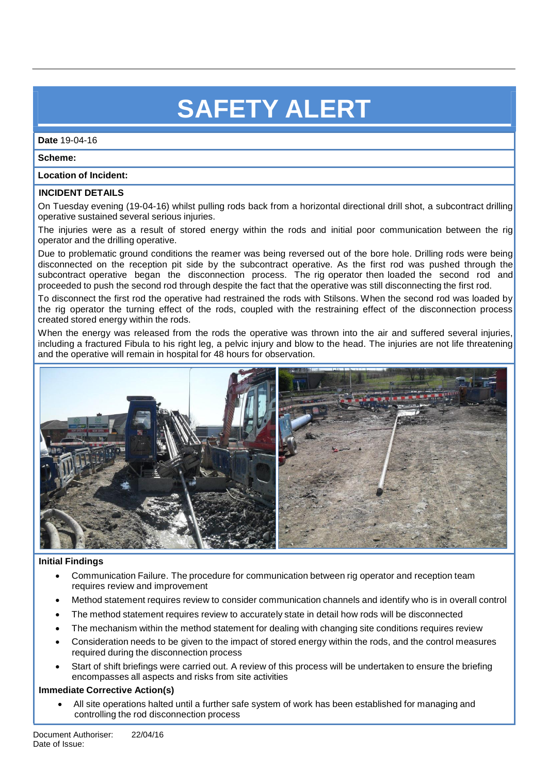# **SAFETY ALERT**

**Date** 19-04-16

**Scheme:**

### **Location of Incident:**

## **INCIDENT DETAILS**

On Tuesday evening (19-04-16) whilst pulling rods back from a horizontal directional drill shot, a subcontract drilling operative sustained several serious injuries.

The injuries were as a result of stored energy within the rods and initial poor communication between the rig operator and the drilling operative.

Due to problematic ground conditions the reamer was being reversed out of the bore hole. Drilling rods were being disconnected on the reception pit side by the subcontract operative. As the first rod was pushed through the subcontract operative began the disconnection process. The rig operator then loaded the second rod and proceeded to push the second rod through despite the fact that the operative was still disconnecting the first rod.

To disconnect the first rod the operative had restrained the rods with Stilsons. When the second rod was loaded by the rig operator the turning effect of the rods, coupled with the restraining effect of the disconnection process created stored energy within the rods.

When the energy was released from the rods the operative was thrown into the air and suffered several injuries, including a fractured Fibula to his right leg, a pelvic injury and blow to the head. The injuries are not life threatening and the operative will remain in hospital for 48 hours for observation.



## **Initial Findings**

- Communication Failure. The procedure for communication between rig operator and reception team requires review and improvement
- Method statement requires review to consider communication channels and identify who is in overall control
- The method statement requires review to accurately state in detail how rods will be disconnected
- The mechanism within the method statement for dealing with changing site conditions requires review
- Consideration needs to be given to the impact of stored energy within the rods, and the control measures required during the disconnection process
- Start of shift briefings were carried out. A review of this process will be undertaken to ensure the briefing encompasses all aspects and risks from site activities

#### **Immediate Corrective Action(s)**

 All site operations halted until a further safe system of work has been established for managing and controlling the rod disconnection process